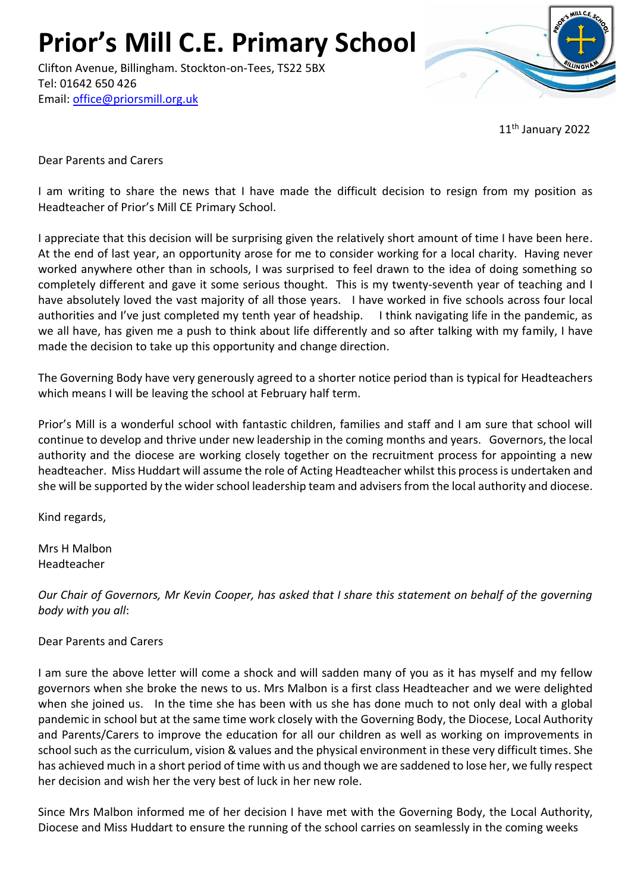**Prior's Mill C.E. Primary School**

Clifton Avenue, Billingham. Stockton-on-Tees, TS22 5BX Tel: 01642 650 426 Email: [office@priorsmill.org.uk](mailto:office@priorsmill.org.uk)



11th January 2022

Dear Parents and Carers

I am writing to share the news that I have made the difficult decision to resign from my position as Headteacher of Prior's Mill CE Primary School.

I appreciate that this decision will be surprising given the relatively short amount of time I have been here. At the end of last year, an opportunity arose for me to consider working for a local charity. Having never worked anywhere other than in schools, I was surprised to feel drawn to the idea of doing something so completely different and gave it some serious thought. This is my twenty-seventh year of teaching and I have absolutely loved the vast majority of all those years. I have worked in five schools across four local authorities and I've just completed my tenth year of headship. I think navigating life in the pandemic, as we all have, has given me a push to think about life differently and so after talking with my family, I have made the decision to take up this opportunity and change direction.

The Governing Body have very generously agreed to a shorter notice period than is typical for Headteachers which means I will be leaving the school at February half term.

Prior's Mill is a wonderful school with fantastic children, families and staff and I am sure that school will continue to develop and thrive under new leadership in the coming months and years. Governors, the local authority and the diocese are working closely together on the recruitment process for appointing a new headteacher. Miss Huddart will assume the role of Acting Headteacher whilst this process is undertaken and she will be supported by the wider school leadership team and advisers from the local authority and diocese.

Kind regards,

Mrs H Malbon Headteacher

*Our Chair of Governors, Mr Kevin Cooper, has asked that I share this statement on behalf of the governing body with you all*:

Dear Parents and Carers

I am sure the above letter will come a shock and will sadden many of you as it has myself and my fellow governors when she broke the news to us. Mrs Malbon is a first class Headteacher and we were delighted when she joined us. In the time she has been with us she has done much to not only deal with a global pandemic in school but at the same time work closely with the Governing Body, the Diocese, Local Authority and Parents/Carers to improve the education for all our children as well as working on improvements in school such as the curriculum, vision & values and the physical environment in these very difficult times. She has achieved much in a short period of time with us and though we are saddened to lose her, we fully respect her decision and wish her the very best of luck in her new role.

Since Mrs Malbon informed me of her decision I have met with the Governing Body, the Local Authority, Diocese and Miss Huddart to ensure the running of the school carries on seamlessly in the coming weeks